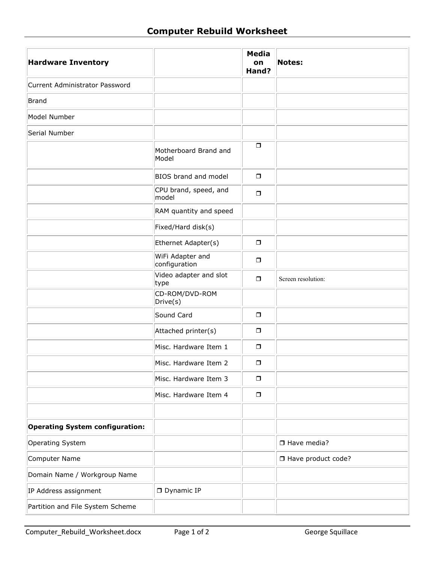| <b>Hardware Inventory</b>              |                                   | <b>Media</b><br>on<br>Hand? | <b>Notes:</b>        |
|----------------------------------------|-----------------------------------|-----------------------------|----------------------|
| Current Administrator Password         |                                   |                             |                      |
| Brand                                  |                                   |                             |                      |
| Model Number                           |                                   |                             |                      |
| Serial Number                          |                                   |                             |                      |
|                                        | Motherboard Brand and<br>Model    | $\Box$                      |                      |
|                                        | <b>BIOS</b> brand and model       | $\Box$                      |                      |
|                                        | CPU brand, speed, and<br>model    | $\Box$                      |                      |
|                                        | RAM quantity and speed            |                             |                      |
|                                        | Fixed/Hard disk(s)                |                             |                      |
|                                        | Ethernet Adapter(s)               | $\Box$                      |                      |
|                                        | WiFi Adapter and<br>configuration | $\Box$                      |                      |
|                                        | Video adapter and slot<br>type    | $\Box$                      | Screen resolution:   |
|                                        | CD-ROM/DVD-ROM<br>Drive(s)        |                             |                      |
|                                        | Sound Card                        | $\Box$                      |                      |
|                                        | Attached printer(s)               | $\Box$                      |                      |
|                                        | Misc. Hardware Item 1             | $\Box$                      |                      |
|                                        | Misc. Hardware Item 2             | $\Box$                      |                      |
|                                        | Misc. Hardware Item 3             | $\Box$                      |                      |
|                                        | Misc. Hardware Item 4             | $\Box$                      |                      |
|                                        |                                   |                             |                      |
| <b>Operating System configuration:</b> |                                   |                             |                      |
| Operating System                       |                                   |                             | Have media?          |
| Computer Name                          |                                   |                             | □ Have product code? |
| Domain Name / Workgroup Name           |                                   |                             |                      |
| IP Address assignment                  | Dynamic IP                        |                             |                      |
| Partition and File System Scheme       |                                   |                             |                      |